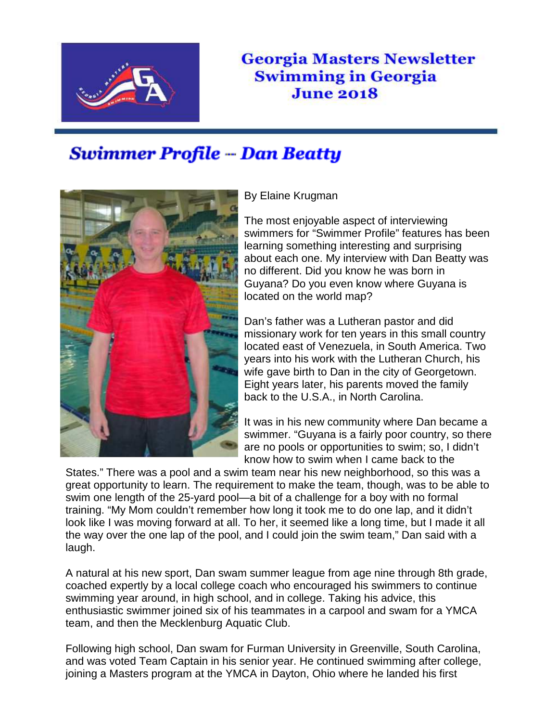

## **Georgia Masters Newsletter Swimming in Georgia June 2018**

## **Swimmer Profile -- Dan Beatty**



By Elaine Krugman

The most enjoyable aspect of interviewing swimmers for "Swimmer Profile" features has been learning something interesting and surprising about each one. My interview with Dan Beatty was no different. Did you know he was born in Guyana? Do you even know where Guyana is located on the world map?

Dan's father was a Lutheran pastor and did missionary work for ten years in this small country located east of Venezuela, in South America. Two years into his work with the Lutheran Church, his wife gave birth to Dan in the city of Georgetown. Eight years later, his parents moved the family back to the U.S.A., in North Carolina.

It was in his new community where Dan became a swimmer. "Guyana is a fairly poor country, so there are no pools or opportunities to swim; so, I didn't know how to swim when I came back to the

States." There was a pool and a swim team near his new neighborhood, so this was a great opportunity to learn. The requirement to make the team, though, was to be able to swim one length of the 25-yard pool—a bit of a challenge for a boy with no formal training. "My Mom couldn't remember how long it took me to do one lap, and it didn't look like I was moving forward at all. To her, it seemed like a long time, but I made it all the way over the one lap of the pool, and I could join the swim team," Dan said with a laugh.

A natural at his new sport, Dan swam summer league from age nine through 8th grade, coached expertly by a local college coach who encouraged his swimmers to continue swimming year around, in high school, and in college. Taking his advice, this enthusiastic swimmer joined six of his teammates in a carpool and swam for a YMCA team, and then the Mecklenburg Aquatic Club.

Following high school, Dan swam for Furman University in Greenville, South Carolina, and was voted Team Captain in his senior year. He continued swimming after college, joining a Masters program at the YMCA in Dayton, Ohio where he landed his first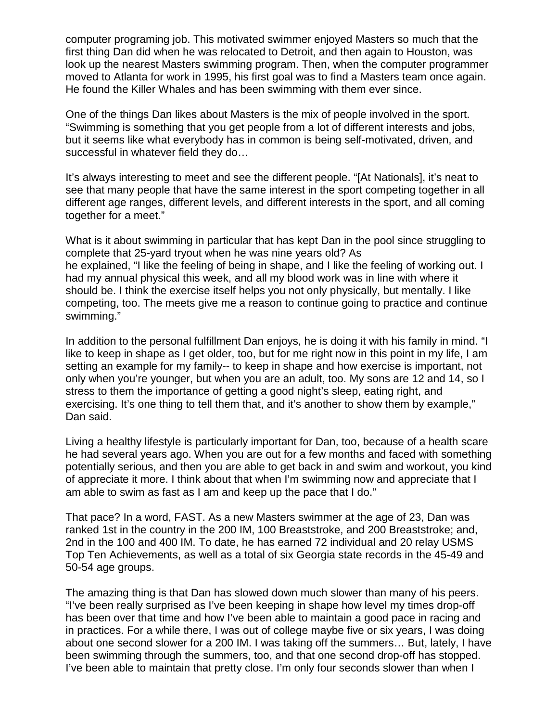computer programing job. This motivated swimmer enjoyed Masters so much that the first thing Dan did when he was relocated to Detroit, and then again to Houston, was look up the nearest Masters swimming program. Then, when the computer programmer moved to Atlanta for work in 1995, his first goal was to find a Masters team once again. He found the Killer Whales and has been swimming with them ever since.

One of the things Dan likes about Masters is the mix of people involved in the sport. "Swimming is something that you get people from a lot of different interests and jobs, but it seems like what everybody has in common is being self-motivated, driven, and successful in whatever field they do…

It's always interesting to meet and see the different people. "[At Nationals], it's neat to see that many people that have the same interest in the sport competing together in all different age ranges, different levels, and different interests in the sport, and all coming together for a meet."

What is it about swimming in particular that has kept Dan in the pool since struggling to complete that 25-yard tryout when he was nine years old? As he explained, "I like the feeling of being in shape, and I like the feeling of working out. I had my annual physical this week, and all my blood work was in line with where it should be. I think the exercise itself helps you not only physically, but mentally. I like competing, too. The meets give me a reason to continue going to practice and continue swimming."

In addition to the personal fulfillment Dan enjoys, he is doing it with his family in mind. "I like to keep in shape as I get older, too, but for me right now in this point in my life, I am setting an example for my family-- to keep in shape and how exercise is important, not only when you're younger, but when you are an adult, too. My sons are 12 and 14, so I stress to them the importance of getting a good night's sleep, eating right, and exercising. It's one thing to tell them that, and it's another to show them by example," Dan said.

Living a healthy lifestyle is particularly important for Dan, too, because of a health scare he had several years ago. When you are out for a few months and faced with something potentially serious, and then you are able to get back in and swim and workout, you kind of appreciate it more. I think about that when I'm swimming now and appreciate that I am able to swim as fast as I am and keep up the pace that I do."

That pace? In a word, FAST. As a new Masters swimmer at the age of 23, Dan was ranked 1st in the country in the 200 IM, 100 Breaststroke, and 200 Breaststroke; and, 2nd in the 100 and 400 IM. To date, he has earned 72 individual and 20 relay USMS Top Ten Achievements, as well as a total of six Georgia state records in the 45-49 and 50-54 age groups.

The amazing thing is that Dan has slowed down much slower than many of his peers. "I've been really surprised as I've been keeping in shape how level my times drop-off has been over that time and how I've been able to maintain a good pace in racing and in practices. For a while there, I was out of college maybe five or six years, I was doing about one second slower for a 200 IM. I was taking off the summers… But, lately, I have been swimming through the summers, too, and that one second drop-off has stopped. I've been able to maintain that pretty close. I'm only four seconds slower than when I